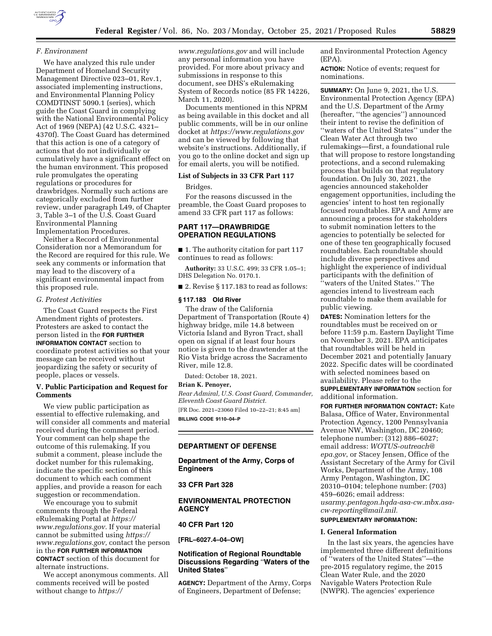

## *F. Environment*

We have analyzed this rule under Department of Homeland Security Management Directive 023–01, Rev.1, associated implementing instructions, and Environmental Planning Policy COMDTINST 5090.1 (series), which guide the Coast Guard in complying with the National Environmental Policy Act of 1969 (NEPA) (42 U.S.C. 4321– 4370f). The Coast Guard has determined that this action is one of a category of actions that do not individually or cumulatively have a significant effect on the human environment. This proposed rule promulgates the operating regulations or procedures for drawbridges. Normally such actions are categorically excluded from further review, under paragraph L49, of Chapter 3, Table 3–1 of the U.S. Coast Guard Environmental Planning Implementation Procedures.

Neither a Record of Environmental Consideration nor a Memorandum for the Record are required for this rule. We seek any comments or information that may lead to the discovery of a significant environmental impact from this proposed rule.

### *G. Protest Activities*

The Coast Guard respects the First Amendment rights of protesters. Protesters are asked to contact the person listed in the **FOR FURTHER INFORMATION CONTACT** section to coordinate protest activities so that your message can be received without jeopardizing the safety or security of people, places or vessels.

### **V. Public Participation and Request for Comments**

We view public participation as essential to effective rulemaking, and will consider all comments and material received during the comment period. Your comment can help shape the outcome of this rulemaking. If you submit a comment, please include the docket number for this rulemaking, indicate the specific section of this document to which each comment applies, and provide a reason for each suggestion or recommendation.

We encourage you to submit comments through the Federal eRulemaking Portal at *[https://](https://www.regulations.gov) [www.regulations.gov.](https://www.regulations.gov)* If your material cannot be submitted using *[https://](https://www.regulations.gov) [www.regulations.gov,](https://www.regulations.gov)* contact the person in the **FOR FURTHER INFORMATION CONTACT** section of this document for alternate instructions.

We accept anonymous comments. All comments received will be posted without change to *[https://](https://www.regulations.gov)*

*[www.regulations.gov](https://www.regulations.gov)* and will include any personal information you have provided. For more about privacy and submissions in response to this document, see DHS's eRulemaking System of Records notice (85 FR 14226, March 11, 2020).

Documents mentioned in this NPRM as being available in this docket and all public comments, will be in our online docket at *<https://www.regulations.gov>*  and can be viewed by following that website's instructions. Additionally, if you go to the online docket and sign up for email alerts, you will be notified.

## **List of Subjects in 33 CFR Part 117**

## Bridges.

For the reasons discussed in the preamble, the Coast Guard proposes to amend 33 CFR part 117 as follows:

# **PART 117—DRAWBRIDGE OPERATION REGULATIONS**

■ 1. The authority citation for part 117 continues to read as follows:

**Authority:** 33 U.S.C. 499; 33 CFR 1.05–1; DHS Delegation No. 0170.1.

■ 2. Revise § 117.183 to read as follows:

#### **§ 117.183 Old River**

The draw of the California Department of Transportation (Route 4) highway bridge, mile 14.8 between Victoria Island and Byron Tract, shall open on signal if at least four hours notice is given to the drawtender at the Rio Vista bridge across the Sacramento River, mile 12.8.

Dated: October 18, 2021.

#### **Brian K. Penoyer,**

*Rear Admiral, U.S. Coast Guard, Commander, Eleventh Coast Guard District.*  [FR Doc. 2021–23060 Filed 10–22–21; 8:45 am]

**BILLING CODE 9110–04–P** 

# **DEPARTMENT OF DEFENSE**

**Department of the Army, Corps of Engineers** 

## **33 CFR Part 328**

# **ENVIRONMENTAL PROTECTION AGENCY**

### **40 CFR Part 120**

**[FRL–6027.4–04–OW]** 

# **Notification of Regional Roundtable Discussions Regarding** ''**Waters of the United States**''

**AGENCY:** Department of the Army, Corps of Engineers, Department of Defense;

and Environmental Protection Agency (EPA).

**ACTION:** Notice of events; request for nominations.

**SUMMARY:** On June 9, 2021, the U.S. Environmental Protection Agency (EPA) and the U.S. Department of the Army (hereafter, ''the agencies'') announced their intent to revise the definition of ''waters of the United States'' under the Clean Water Act through two rulemakings—first, a foundational rule that will propose to restore longstanding protections, and a second rulemaking process that builds on that regulatory foundation. On July 30, 2021, the agencies announced stakeholder engagement opportunities, including the agencies' intent to host ten regionally focused roundtables. EPA and Army are announcing a process for stakeholders to submit nomination letters to the agencies to potentially be selected for one of these ten geographically focused roundtables. Each roundtable should include diverse perspectives and highlight the experience of individual participants with the definition of ''waters of the United States.'' The agencies intend to livestream each roundtable to make them available for public viewing.

**DATES:** Nomination letters for the roundtables must be received on or before 11:59 p.m. Eastern Daylight Time on November 3, 2021. EPA anticipates that roundtables will be held in December 2021 and potentially January 2022. Specific dates will be coordinated with selected nominees based on availability. Please refer to the **SUPPLEMENTARY INFORMATION** section for

additional information.

**FOR FURTHER INFORMATION CONTACT:** Kate Balasa, Office of Water, Environmental Protection Agency, 1200 Pennsylvania Avenue NW, Washington, DC 20460; telephone number: (312) 886–6027; email address: *[WOTUS-outreach@](mailto:WOTUS-outreach@epa.gov) [epa.gov](mailto:WOTUS-outreach@epa.gov)*, or Stacey Jensen, Office of the Assistant Secretary of the Army for Civil Works, Department of the Army, 108 Army Pentagon, Washington, DC 20310–0104; telephone number: (703) 459–6026; email address: *[usarmy.pentagon.hqda-asa-cw.mbx.asa](mailto:usarmy.pentagon.hqda-asa-cw.mbx.asa-cw-reporting@mail.mil)[cw-reporting@mail.mil.](mailto:usarmy.pentagon.hqda-asa-cw.mbx.asa-cw-reporting@mail.mil)* 

# **SUPPLEMENTARY INFORMATION:**

### **I. General Information**

In the last six years, the agencies have implemented three different definitions of ''waters of the United States''—the pre-2015 regulatory regime, the 2015 Clean Water Rule, and the 2020 Navigable Waters Protection Rule (NWPR). The agencies' experience